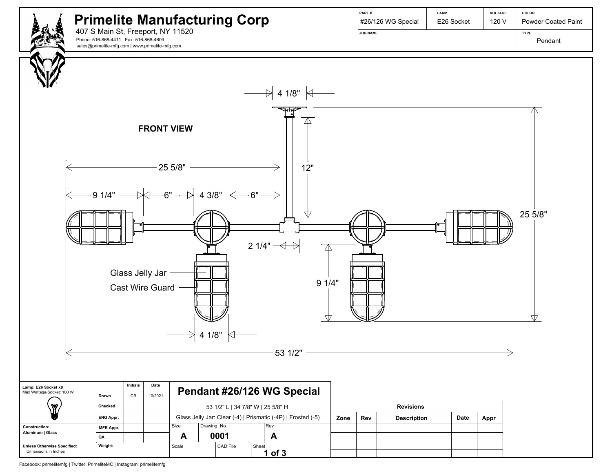

Facebook: primelitemfg | Twitter: PrimeliteMC | Instagram: primelitemfg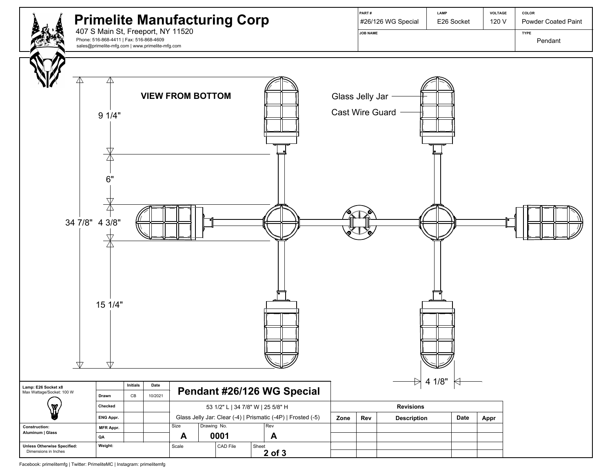

Facebook: primelitemfg | Twitter: PrimeliteMC | Instagram: primelitemfg